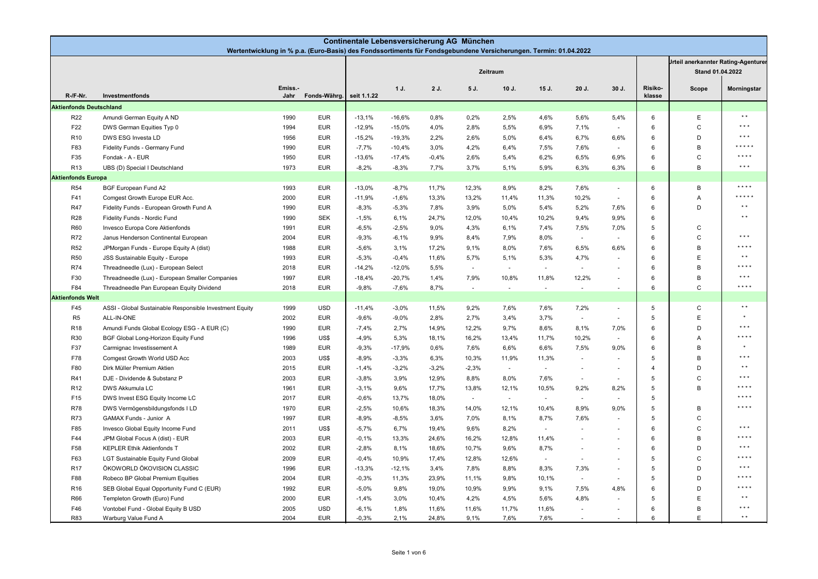| Continentale Lebensversicherung AG München<br>Wertentwicklung in % p.a. (Euro-Basis) des Fondssortiments für Fondsgebundene Versicherungen. Termin: 01.04.2022 |                                                         |                |              |             |          |         |         |          |        |               |                          |                       |                                                                |                         |
|----------------------------------------------------------------------------------------------------------------------------------------------------------------|---------------------------------------------------------|----------------|--------------|-------------|----------|---------|---------|----------|--------|---------------|--------------------------|-----------------------|----------------------------------------------------------------|-------------------------|
|                                                                                                                                                                |                                                         |                |              |             |          |         |         | Zeitraum |        |               |                          |                       | <b>Jrteil anerkannter Rating-Agenturer</b><br>Stand 01.04.2022 |                         |
| R /F Nr.                                                                                                                                                       | Investmentfonds                                         | Emiss.<br>Jahr | Fonds-Währg. | seit 1.1.22 | 1 J.     | 2 J.    | 5 J.    | 10 J.    | 15 J.  | 20 J.         | 30 J.                    | Risiko-<br>klasse     | Scope                                                          | Morningstar             |
| <b>Aktienfonds Deutschland</b>                                                                                                                                 |                                                         |                |              |             |          |         |         |          |        |               |                          |                       |                                                                |                         |
| R <sub>22</sub>                                                                                                                                                | Amundi German Equity A ND                               | 1990           | <b>EUR</b>   | $-13,1%$    | $-16,6%$ | 0,8%    | 0,2%    | 2,5%     | 4,6%   | 5,6%          | 5,4%                     | 6                     | E                                                              | $\star$ $\star$         |
| F22                                                                                                                                                            | DWS German Equities Typ 0                               | 1994           | <b>EUR</b>   | $-12,9%$    | $-15,0%$ | 4,0%    | 2,8%    | 5,5%     | 6,9%   | 7,1%          | $\sim$                   | 6                     | $\mathsf{C}$                                                   | $***$                   |
| R <sub>10</sub>                                                                                                                                                | DWS ESG Investa LD                                      | 1956           | <b>EUR</b>   | $-15,2%$    | $-19,3%$ | 2,2%    | 2,6%    | 5,0%     | 6,4%   | 6,7%          | 6,6%                     | 6                     | D                                                              | $\star \star \star$     |
| F83                                                                                                                                                            | Fidelity Funds - Germany Fund                           | 1990           | <b>EUR</b>   | $-7,7%$     | $-10,4%$ | 3,0%    | 4,2%    | 6,4%     | 7,5%   | 7,6%          | $\sim$                   | 6                     | $\,$ B                                                         | * * * * *               |
| F35                                                                                                                                                            | Fondak - A - EUR                                        | 1950           | <b>EUR</b>   | $-13,6%$    | $-17,4%$ | $-0,4%$ | 2,6%    | 5,4%     | 6,2%   | 6,5%          | 6,9%                     | 6                     | $\mathsf{C}$                                                   | * * * *                 |
| R <sub>13</sub>                                                                                                                                                | UBS (D) Special I Deutschland                           | 1973           | <b>EUR</b>   | $-8,2%$     | $-8,3%$  | 7,7%    | 3,7%    | 5,1%     | 5,9%   | 6,3%          | 6,3%                     | 6                     | $\overline{B}$                                                 | $\star$ $\star$ $\star$ |
| <b>Aktienfonds Europa</b>                                                                                                                                      |                                                         |                |              |             |          |         |         |          |        |               |                          |                       |                                                                |                         |
| <b>R54</b>                                                                                                                                                     | <b>BGF European Fund A2</b>                             | 1993           | <b>EUR</b>   | $-13,0%$    | $-8,7%$  | 11,7%   | 12,3%   | 8,9%     | 8,2%   | 7,6%          | $\omega$                 | 6                     | B                                                              | $***$                   |
| F41                                                                                                                                                            | Comgest Growth Europe EUR Acc.                          | 2000           | <b>EUR</b>   | $-11,9%$    | $-1,6%$  | 13,3%   | 13,2%   | 11,4%    | 11,3%  | 10,2%         | $\sim$                   | 6                     | Α                                                              | * * * * *               |
| <b>R47</b>                                                                                                                                                     | Fidelity Funds - European Growth Fund A                 | 1990           | <b>EUR</b>   | $-8,3%$     | $-5,3%$  | 7,8%    | 3,9%    | 5,0%     | 5,4%   | 5,2%          | 7,6%                     | 6                     | D                                                              | $\star$ $\star$         |
| <b>R28</b>                                                                                                                                                     | Fidelity Funds - Nordic Fund                            | 1990           | <b>SEK</b>   | $-1,5%$     | 6,1%     | 24,7%   | 12,0%   | 10,4%    | 10,2%  | 9,4%          | 9,9%                     | 6                     |                                                                | $\star$ $\star$         |
| <b>R60</b>                                                                                                                                                     | Invesco Europa Core Aktienfonds                         | 1991           | <b>EUR</b>   | $-6,5%$     | $-2,5%$  | 9,0%    | 4,3%    | 6,1%     | 7,4%   | 7,5%          | 7,0%                     | 5                     | C                                                              |                         |
| R72                                                                                                                                                            | Janus Henderson Continental European                    | 2004           | <b>EUR</b>   | $-9,3%$     | $-6,1%$  | 9,9%    | 8,4%    | 7,9%     | 8,0%   | $\sim$        | ×.                       | 6                     | $\mathsf{C}$                                                   | $\star$ $\star$ $\star$ |
| <b>R52</b>                                                                                                                                                     | JPMorgan Funds - Europe Equity A (dist)                 | 1988           | <b>EUR</b>   | $-5,6%$     | 3,1%     | 17,2%   | 9,1%    | 8,0%     | 7,6%   | 6,5%          | 6,6%                     | 6                     | $\,$ B                                                         | * * * *                 |
| <b>R50</b>                                                                                                                                                     | JSS Sustainable Equity - Europe                         | 1993           | <b>EUR</b>   | $-5,3%$     | $-0.4%$  | 11,6%   | 5,7%    | 5,1%     | 5,3%   | 4,7%          |                          | 6                     | E                                                              | $\star$ $\star$         |
| <b>R74</b>                                                                                                                                                     | Threadneedle (Lux) - European Select                    | 2018           | <b>EUR</b>   | $-14,2%$    | $-12,0%$ | 5,5%    | $\sim$  | $\sim$   | $\sim$ | $\sim$        | ÷                        | 6                     | B                                                              | ****                    |
| F30                                                                                                                                                            | Threadneedle (Lux) - European Smaller Companies         | 1997           | <b>EUR</b>   | $-18,4%$    | $-20,7%$ | 1,4%    | 7,9%    | 10,8%    | 11,8%  | 12,2%         | $\sim$                   | 6                     | B                                                              | $\star \star \star$     |
| F84                                                                                                                                                            | Threadneedle Pan European Equity Dividend               | 2018           | <b>EUR</b>   | $-9,8%$     | $-7,6%$  | 8,7%    |         | ÷.       | ×,     | ÷,            | ÷.                       | 6                     | $\mathsf{C}$                                                   | $***$                   |
| <b>Aktienfonds Welt</b>                                                                                                                                        |                                                         |                |              |             |          |         |         |          |        |               |                          |                       |                                                                |                         |
| F45                                                                                                                                                            | ASSI - Global Sustainable Responsible Investment Equity | 1999           | <b>USD</b>   | $-11,4%$    | $-3,0%$  | 11,5%   | 9,2%    | 7,6%     | 7,6%   | 7,2%          | $\sim$                   | 5                     | $\mathsf{C}$                                                   | $\star$ $\star$         |
| R <sub>5</sub>                                                                                                                                                 | ALL-IN-ONE                                              | 2002           | <b>EUR</b>   | $-9,6%$     | $-9,0%$  | 2,8%    | 2,7%    | 3,4%     | 3,7%   | $\sim$        | $\overline{\phantom{a}}$ | 5                     | $\mathsf E$                                                    |                         |
| R <sub>18</sub>                                                                                                                                                | Amundi Funds Global Ecology ESG - A EUR (C)             | 1990           | <b>EUR</b>   | $-7,4%$     | 2,7%     | 14,9%   | 12,2%   | 9,7%     | 8,6%   | 8,1%          | 7,0%                     | 6                     | D                                                              | $\star$ $\star$ $\star$ |
| R30                                                                                                                                                            | BGF Global Long-Horizon Equity Fund                     | 1996           | US\$         | $-4,9%$     | 5,3%     | 18,1%   | 16,2%   | 13,4%    | 11,7%  | 10,2%         | $\sim$                   | 6                     | Α                                                              | * * * *                 |
| F37                                                                                                                                                            | Carmignac Investissement A                              | 1989           | <b>EUR</b>   | $-9,3%$     | $-17,9%$ | 0,6%    | 7,6%    | 6,6%     | 6,6%   | 7,5%          | 9.0%                     | 6                     | B                                                              |                         |
| F78                                                                                                                                                            | Comgest Growth World USD Acc                            | 2003           | US\$         | $-8,9%$     | $-3,3%$  | 6,3%    | 10,3%   | 11,9%    | 11,3%  | $\sim$        | $\sim$                   | 5                     | B                                                              | $* * *$                 |
| F80                                                                                                                                                            | Dirk Müller Premium Aktien                              | 2015           | <b>EUR</b>   | $-1,4%$     | $-3,2%$  | $-3,2%$ | $-2,3%$ | $\sim$   | $\sim$ | $\sim$        | $\sim$                   | $\boldsymbol{\Delta}$ | D                                                              | $\star$ $\star$         |
| R41                                                                                                                                                            | DJE - Dividende & Substanz P                            | 2003           | <b>EUR</b>   | $-3,8%$     | 3,9%     | 12,9%   | 8,8%    | 8,0%     | 7,6%   | $\sim$        | $\sim$                   | 5                     | $\mathsf C$                                                    | $***$                   |
| R <sub>12</sub>                                                                                                                                                | DWS Akkumula LC                                         | 1961           | <b>EUR</b>   | $-3,1%$     | 9,6%     | 17,7%   | 13,8%   | 12,1%    | 10,5%  | 9,2%          | 8,2%                     | 5                     | B                                                              | * * * *                 |
| F15                                                                                                                                                            | DWS Invest ESG Equity Income LC                         | 2017           | <b>EUR</b>   | $-0,6%$     | 13,7%    | 18,0%   | $\sim$  | $\sim$   | $\sim$ | $\sim$        | ÷                        | 5                     |                                                                | * * * *                 |
| <b>R78</b>                                                                                                                                                     | DWS Vermögensbildungsfonds I LD                         | 1970           | <b>EUR</b>   | $-2,5%$     | 10,6%    | 18,3%   | 14,0%   | 12,1%    | 10,4%  | 8,9%          | 9.0%                     | 5                     | B                                                              | $***$                   |
| <b>R73</b>                                                                                                                                                     | GAMAX Funds - Junior A                                  | 1997           | <b>EUR</b>   | $-8,9%$     | $-8,5%$  | 3,6%    | 7,0%    | 8,1%     | 8,7%   | 7,6%          |                          | 5                     | $\mathsf C$                                                    |                         |
| F85                                                                                                                                                            | Invesco Global Equity Income Fund                       | 2011           | US\$         | $-5,7%$     | 6,7%     | 19,4%   | 9,6%    | 8,2%     | $\sim$ | ÷.            | $\sim$                   | 6                     | $\mathsf C$                                                    | $\star \star \star$     |
| F44                                                                                                                                                            | JPM Global Focus A (dist) - EUR                         | 2003           | <b>EUR</b>   | $-0,1%$     | 13,3%    | 24,6%   | 16,2%   | 12,8%    | 11,4%  | ÷,            | $\sim$                   | 6                     | $\,$ B                                                         | $***$                   |
| F58                                                                                                                                                            | <b>KEPLER Ethik Aktienfonds T</b>                       | 2002           | <b>EUR</b>   | $-2,8%$     | 8,1%     | 18,6%   | 10,7%   | 9,6%     | 8,7%   | ×.            | $\sim$                   | 6                     | D                                                              | $\star \star \star$     |
| F63                                                                                                                                                            | LGT Sustainable Equity Fund Global                      | 2009           | <b>EUR</b>   | $-0,4%$     | 10,9%    | 17,4%   | 12,8%   | 12,6%    | $\sim$ | ×.            | $\sim$                   | 5                     | $\mathsf C$                                                    | $* * * *$               |
| <b>R17</b>                                                                                                                                                     | ÖKOWORLD ÖKOVISION CLASSIC                              | 1996           | <b>EUR</b>   | $-13,3%$    | $-12,1%$ | 3,4%    | 7,8%    | 8,8%     | 8,3%   | 7,3%          | $\overline{\phantom{a}}$ | 5                     | D                                                              | $\star$ $\star$ $\star$ |
| F88                                                                                                                                                            | Robeco BP Global Premium Equities                       | 2004           | <b>EUR</b>   | $-0,3%$     | 11,3%    | 23,9%   | 11,1%   | 9,8%     | 10,1%  | $\mathcal{L}$ | ×.                       | 5                     | D                                                              | * * * *                 |
| R <sub>16</sub>                                                                                                                                                | SEB Global Equal Opportunity Fund C (EUR)               | 1992           | <b>EUR</b>   | $-5,0%$     | 9,8%     | 19,0%   | 10,9%   | 9,9%     | 9,1%   | 7,5%          | 4.8%                     | 6                     | D                                                              | * * * *                 |
| <b>R66</b>                                                                                                                                                     | Templeton Growth (Euro) Fund                            | 2000           | <b>EUR</b>   | $-1,4%$     | 3,0%     | 10,4%   | 4,2%    | 4,5%     | 5,6%   | 4,8%          | $\sim$                   | 5                     | $\mathsf E$                                                    | $\star$ $\star$         |
| F46                                                                                                                                                            | Vontobel Fund - Global Equity B USD                     | 2005           | <b>USD</b>   | $-6,1%$     | 1,8%     | 11,6%   | 11,6%   | 11,7%    | 11,6%  | ÷,            | $\sim$                   | 6                     | B                                                              | $* * *$                 |
| <b>R83</b>                                                                                                                                                     | Warburg Value Fund A                                    | 2004           | <b>EUR</b>   | $-0.3%$     | 2,1%     | 24,8%   | 9,1%    | 7,6%     | 7,6%   |               |                          | 6                     | E                                                              | $\star$ $\star$         |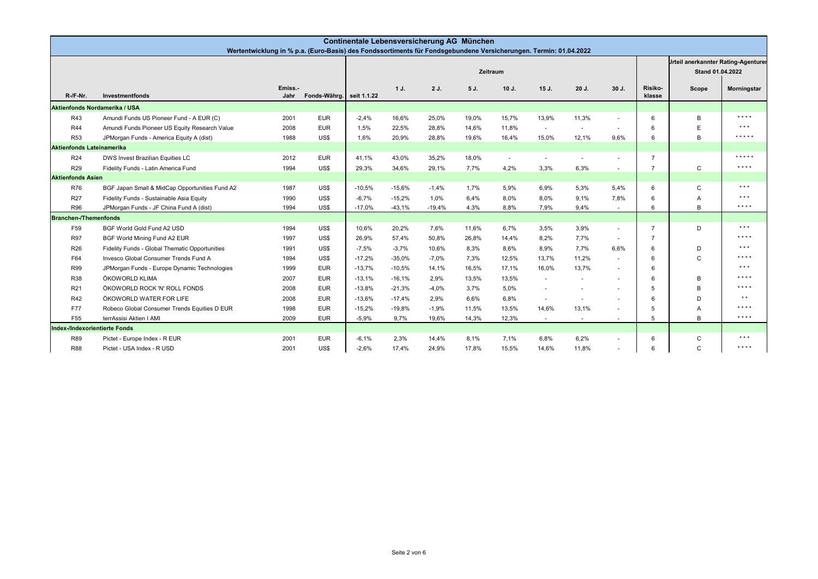|                                  | Continentale Lebensversicherung AG München<br>Wertentwicklung in % p.a. (Euro-Basis) des Fondssortiments für Fondsgebundene Versicherungen. Termin: 01.04.2022 |                 |                          |          |          |          |       |                          |                                                                |         |                          |                   |                |                     |
|----------------------------------|----------------------------------------------------------------------------------------------------------------------------------------------------------------|-----------------|--------------------------|----------|----------|----------|-------|--------------------------|----------------------------------------------------------------|---------|--------------------------|-------------------|----------------|---------------------|
|                                  |                                                                                                                                                                |                 |                          |          |          |          |       |                          | <b>Jrteil anerkannter Rating Agenturer</b><br>Stand 01.04.2022 |         |                          |                   |                |                     |
| $R / F$ Nr.                      | Investmentfonds                                                                                                                                                | Emiss.-<br>Jahr | Fonds-Währg. seit 1.1.22 |          | 1J.      | 2 J.     | 5 J.  | $10J$ .                  | $15J$ .                                                        | $20J$ . | $30J$ .                  | Risiko-<br>klasse | Scope          | Morningstar         |
| Aktienfonds Nordamerika / USA    |                                                                                                                                                                |                 |                          |          |          |          |       |                          |                                                                |         |                          |                   |                |                     |
| R43                              | Amundi Funds US Pioneer Fund - A EUR (C)                                                                                                                       | 2001            | <b>EUR</b>               | $-2,4%$  | 16,6%    | 25,0%    | 19,0% | 15,7%                    | 13,9%                                                          | 11,3%   |                          |                   | B              | ****                |
| <b>R44</b>                       | Amundi Funds Pioneer US Equity Research Value                                                                                                                  | 2008            | <b>EUR</b>               | 1.5%     | 22,5%    | 28,8%    | 14,6% | 11,8%                    | $\sim$                                                         | $\sim$  | $\sim$                   |                   | E              | $\star \star \star$ |
| <b>R53</b>                       | JPMorgan Funds - America Equity A (dist)                                                                                                                       | 1988            | US\$                     | 1,6%     | 20,9%    | 28,8%    | 19,6% | 16,4%                    | 15,0%                                                          | 12,1%   | 9,6%                     |                   | B <sub>1</sub> | *****               |
| <b>Aktienfonds Lateinamerika</b> |                                                                                                                                                                |                 |                          |          |          |          |       |                          |                                                                |         |                          |                   |                |                     |
| R24                              | DWS Invest Brazilian Equities LC                                                                                                                               | 2012            | <b>EUR</b>               | 41.1%    | 43.0%    | 35,2%    | 18,0% | $\overline{\phantom{a}}$ | $\overline{a}$                                                 |         |                          |                   |                | * * * * *           |
| R29                              | Fidelity Funds - Latin America Fund                                                                                                                            | 1994            | US\$                     | 29,3%    | 34,6%    | 29,1%    | 7,7%  | 4,2%                     | 3,3%                                                           | 6,3%    |                          |                   | $\mathsf{C}$   | $* * * * *$         |
| <b>Aktienfonds Asien</b>         |                                                                                                                                                                |                 |                          |          |          |          |       |                          |                                                                |         |                          |                   |                |                     |
| <b>R76</b>                       | BGF Japan Small & MidCap Opportunities Fund A2                                                                                                                 | 1987            | US\$                     | $-10,5%$ | $-15,6%$ | $-1,4%$  | 1,7%  | 5,9%                     | 6,9%                                                           | 5,3%    | 5.4%                     | 6                 | $\mathsf{C}$   | $\star \star \star$ |
| R <sub>27</sub>                  | Fidelity Funds - Sustainable Asia Equity                                                                                                                       | 1990            | US\$                     | $-6.7%$  | $-15,2%$ | 1,0%     | 6,4%  | 8,0%                     | 8,0%                                                           | 9,1%    | 7.8%                     | 6                 | $\overline{A}$ | $\star \star \star$ |
| <b>R96</b>                       | JPMorgan Funds - JF China Fund A (dist)                                                                                                                        | 1994            | US\$                     | $-17,0%$ | $-43,1%$ | $-19,4%$ | 4,3%  | 8,8%                     | 7,9%                                                           | 9,4%    | $\sim$                   |                   | B <sub>1</sub> | $* * * *$           |
| <b>Branchen-/Themenfonds</b>     |                                                                                                                                                                |                 |                          |          |          |          |       |                          |                                                                |         |                          |                   |                |                     |
| F59                              | BGF World Gold Fund A2 USD                                                                                                                                     | 1994            | US\$                     | 10.6%    | 20,2%    | 7.6%     | 11,6% | 6.7%                     | 3,5%                                                           | 3.9%    | $\sim$                   |                   | D              | $\star \star \star$ |
| <b>R97</b>                       | BGF World Mining Fund A2 EUR                                                                                                                                   | 1997            | US\$                     | 26,9%    | 57,4%    | 50,8%    | 26,8% | 14,4%                    | 8,2%                                                           | 7,7%    | $\sim$                   |                   |                | $* * * *$           |
| R <sub>26</sub>                  | Fidelity Funds - Global Thematic Opportunities                                                                                                                 | 1991            | US\$                     | $-7,5%$  | $-3,7%$  | 10,6%    | 8,3%  | 8,6%                     | 8,9%                                                           | 7,7%    | 6.6%                     |                   | D              | $\star \star \star$ |
| F64                              | Invesco Global Consumer Trends Fund A                                                                                                                          | 1994            | US\$                     | $-17.2%$ | $-35,0%$ | $-7,0%$  | 7,3%  | 12,5%                    | 13,7%                                                          | 11,2%   | $\sim$                   |                   | $\mathsf{C}$   | $* * * *$           |
| R99                              | JPMorgan Funds - Europe Dynamic Technologies                                                                                                                   | 1999            | <b>EUR</b>               | $-13.7%$ | $-10.5%$ | 14.1%    | 16,5% | 17.1%                    | 16.0%                                                          | 13,7%   | $\sim$                   |                   |                | $\star \star \star$ |
| <b>R38</b>                       | ÖKOWORLD KLIMA                                                                                                                                                 | 2007            | <b>EUR</b>               | $-13.1%$ | $-16.1%$ | 2,9%     | 13,5% | 13,5%                    | $\overline{\phantom{a}}$                                       | ÷.      | $\sim$                   |                   | B              | $* * * *$           |
| R <sub>21</sub>                  | ÖKOWORLD ROCK 'N' ROLL FONDS                                                                                                                                   | 2008            | <b>EUR</b>               | $-13.8%$ | $-21.3%$ | $-4,0%$  | 3,7%  | 5,0%                     | ÷.                                                             | ×.      | $\overline{\phantom{a}}$ |                   | <b>R</b>       | ****                |
| R42                              | ÖKOWORLD WATER FOR LIFE                                                                                                                                        | 2008            | <b>EUR</b>               | $-13,6%$ | $-17,4%$ | 2,9%     | 6,6%  | 6,8%                     |                                                                | ×.      | $\sim$                   |                   | D              | $\star$ $\star$     |
| <b>F77</b>                       | Robeco Global Consumer Trends Equities D EUR                                                                                                                   | 1998            | <b>EUR</b>               | $-15,2%$ | $-19,8%$ | $-1,9%$  | 11,5% | 13,5%                    | 14,6%                                                          | 13,1%   | $\overline{a}$           |                   | $\overline{A}$ | $* * * *$           |
| F <sub>55</sub>                  | terrAssisi Aktien I AMI                                                                                                                                        | 2009            | <b>EUR</b>               | $-5,9%$  | 9,7%     | 19,6%    | 14,3% | 12,3%                    | $\overline{\phantom{a}}$                                       | $\sim$  | $\overline{\phantom{a}}$ |                   | B              | $* * * *$           |
| Index-/Indexorientierte Fonds    |                                                                                                                                                                |                 |                          |          |          |          |       |                          |                                                                |         |                          |                   |                |                     |
| <b>R89</b>                       | Pictet - Europe Index - R EUR                                                                                                                                  | 2001            | <b>EUR</b>               | $-6.1%$  | 2.3%     | 14.4%    | 8.1%  | 7.1%                     | 6.8%                                                           | 6.2%    | $\sim$                   | 6                 | $\mathsf{C}$   | $\star \star \star$ |
| <b>R88</b>                       | Pictet - USA Index - R USD                                                                                                                                     | 2001            | US\$                     | $-2,6%$  | 17,4%    | 24,9%    | 17,8% | 15,5%                    | 14,6%                                                          | 11,8%   |                          |                   | $\mathsf{C}$   | $* * * * *$         |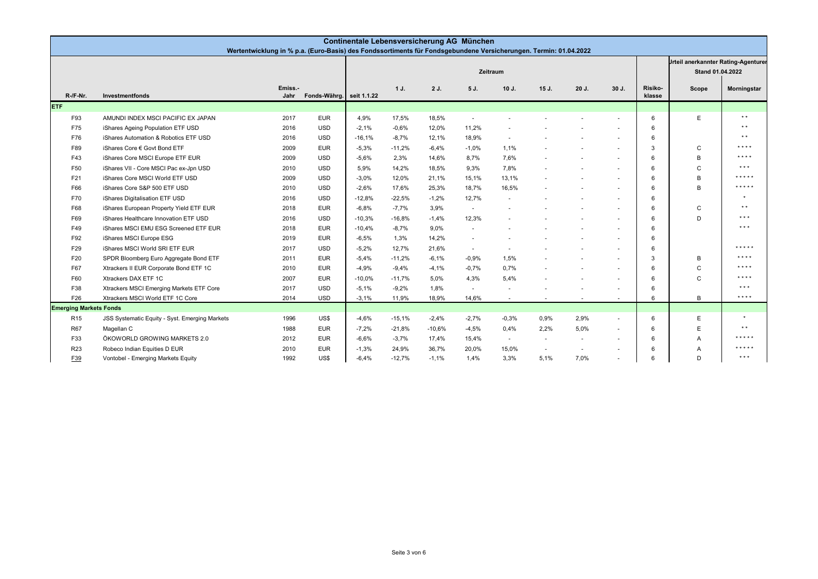|                               | Continentale Lebensversicherung AG München<br>Wertentwicklung in % p.a. (Euro-Basis) des Fondssortiments für Fondsgebundene Versicherungen. Termin: 01.04.2022 |                 |                          |          |          |          |         |                          |                                                                |        |         |                   |          |                     |
|-------------------------------|----------------------------------------------------------------------------------------------------------------------------------------------------------------|-----------------|--------------------------|----------|----------|----------|---------|--------------------------|----------------------------------------------------------------|--------|---------|-------------------|----------|---------------------|
|                               |                                                                                                                                                                |                 |                          |          |          |          |         |                          | <b>Jrteil anerkannter Rating-Agenturer</b><br>Stand 01.04.2022 |        |         |                   |          |                     |
| $R / F Nr$ .                  | Investmentfonds                                                                                                                                                | Emiss.-<br>Jahr | Fonds-Währg. seit 1.1.22 |          | 1J.      | 2 J.     | 5 J.    | $10J$ .                  | 15J.                                                           | 20 J.  | $30J$ . | Risiko-<br>klasse | Scope    | Morningstar         |
| <b>ETF</b>                    |                                                                                                                                                                |                 |                          |          |          |          |         |                          |                                                                |        |         |                   |          |                     |
| F93                           | AMUNDI INDEX MSCI PACIFIC EX JAPAN                                                                                                                             | 2017            | <b>EUR</b>               | 4,9%     | 17,5%    | 18,5%    | $\sim$  |                          |                                                                |        |         | 6                 | E        | $\star$ $\star$     |
| F75                           | iShares Ageing Population ETF USD                                                                                                                              | 2016            | <b>USD</b>               | $-2,1%$  | $-0.6%$  | 12,0%    | 11,2%   |                          |                                                                |        |         | 6                 |          | $\star$ $\star$     |
| F76                           | iShares Automation & Robotics ETF USD                                                                                                                          | 2016            | <b>USD</b>               | $-16.1%$ | $-8,7%$  | 12,1%    | 18,9%   |                          |                                                                |        |         | 6                 |          | $\star$ $\star$     |
| F89                           | iShares Core € Govt Bond ETF                                                                                                                                   | 2009            | <b>EUR</b>               | $-5,3%$  | $-11,2%$ | $-6.4%$  | $-1,0%$ | 1,1%                     |                                                                |        | $\sim$  | 3                 | C        | * * * *             |
| F43                           | iShares Core MSCI Europe ETF EUR                                                                                                                               | 2009            | <b>USD</b>               | $-5.6%$  | 2.3%     | 14.6%    | 8,7%    | 7.6%                     |                                                                |        | $\sim$  | 6                 | B        | $* * * *$           |
| F50                           | iShares VII - Core MSCI Pac ex-Jpn USD                                                                                                                         | 2010            | <b>USD</b>               | 5,9%     | 14,2%    | 18,5%    | 9,3%    | 7,8%                     |                                                                |        | $\sim$  | 6                 | $\Omega$ | $* * *$             |
| F21                           | iShares Core MSCI World ETF USD                                                                                                                                | 2009            | <b>USD</b>               | $-3.0%$  | 12,0%    | 21,1%    | 15,1%   | 13.1%                    |                                                                |        | $\sim$  | 6                 | B        | *****               |
| F66                           | iShares Core S&P 500 ETF USD                                                                                                                                   | 2010            | <b>USD</b>               | $-2.6%$  | 17.6%    | 25,3%    | 18.7%   | 16.5%                    |                                                                |        | $\sim$  | 6                 | B        | *****               |
| F70                           | iShares Digitalisation ETF USD                                                                                                                                 | 2016            | <b>USD</b>               | $-12,8%$ | $-22,5%$ | $-1,2%$  | 12,7%   |                          |                                                                |        |         | 6                 |          | $\star$             |
| F68                           | iShares European Property Yield ETF EUR                                                                                                                        | 2018            | <b>EUR</b>               | $-6,8%$  | $-7,7%$  | 3,9%     | $\sim$  |                          |                                                                |        | $\sim$  | 6                 | C        | $* *$               |
| F69                           | iShares Healthcare Innovation ETF USD                                                                                                                          | 2016            | <b>USD</b>               | $-10,3%$ | $-16.8%$ | $-1,4%$  | 12,3%   |                          |                                                                |        | $\sim$  | 6                 | D        | $***$               |
| F49                           | iShares MSCI EMU ESG Screened ETF EUR                                                                                                                          | 2018            | <b>EUR</b>               | $-10,4%$ | $-8.7%$  | 9,0%     | $\sim$  |                          |                                                                |        | $\sim$  | 6                 |          | $\star \star \star$ |
| F92                           | iShares MSCI Europe ESG                                                                                                                                        | 2019            | <b>EUR</b>               | $-6,5%$  | 1,3%     | 14,2%    | $\sim$  |                          |                                                                |        | $\sim$  | 6                 |          |                     |
| F29                           | iShares MSCI World SRI ETF EUR                                                                                                                                 | 2017            | <b>USD</b>               | $-5,2%$  | 12,7%    | 21,6%    | $\sim$  |                          |                                                                |        |         | 6                 |          | * * * * *           |
| F20                           | SPDR Bloomberg Euro Aggregate Bond ETF                                                                                                                         | 2011            | <b>EUR</b>               | $-5.4%$  | $-11.2%$ | $-6.1%$  | $-0.9%$ | 1,5%                     |                                                                |        | $\sim$  | 3                 | B        | $* * * *$           |
| F67                           | Xtrackers II EUR Corporate Bond ETF 1C                                                                                                                         | 2010            | <b>EUR</b>               | $-4,9%$  | $-9,4%$  | $-4,1%$  | $-0.7%$ | 0,7%                     |                                                                |        | $\sim$  | 6                 | C        | $***$               |
| F60                           | Xtrackers DAX ETF 1C                                                                                                                                           | 2007            | <b>EUR</b>               | $-10,0%$ | $-11.7%$ | 5,0%     | 4,3%    | 5,4%                     |                                                                |        |         | 6                 | C        | $* * * *$           |
| F38                           | Xtrackers MSCI Emerging Markets ETF Core                                                                                                                       | 2017            | <b>USD</b>               | $-5.1%$  | $-9.2%$  | 1.8%     | $\sim$  |                          |                                                                |        |         | 6                 |          | $\star \star \star$ |
| F26                           | Xtrackers MSCI World ETF 1C Core                                                                                                                               | 2014            | <b>USD</b>               | $-3,1%$  | 11,9%    | 18,9%    | 14,6%   | $\overline{\phantom{a}}$ | $\sim$                                                         | $\sim$ | $\sim$  | 6                 | B        | $* * * * *$         |
| <b>Emerging Markets Fonds</b> |                                                                                                                                                                |                 |                          |          |          |          |         |                          |                                                                |        |         |                   |          |                     |
| R <sub>15</sub>               | JSS Systematic Equity - Syst. Emerging Markets                                                                                                                 | 1996            | US\$                     | $-4.6%$  | $-15.1%$ | $-2,4%$  | $-2,7%$ | $-0.3%$                  | 0,9%                                                           | 2.9%   | $\sim$  | 6                 | Е        |                     |
| <b>R67</b>                    | Magellan C                                                                                                                                                     | 1988            | <b>EUR</b>               | $-7,2%$  | $-21,8%$ | $-10,6%$ | $-4,5%$ | 0,4%                     | 2,2%                                                           | 5,0%   | $\sim$  | 6                 | E        | $\star$ $\star$     |
| F33                           | ÖKOWORLD GROWING MARKETS 2.0                                                                                                                                   | 2012            | <b>EUR</b>               | $-6.6%$  | $-3,7%$  | 17,4%    | 15,4%   | $\sim$                   | $\overline{\phantom{a}}$                                       | $\sim$ | $\sim$  | 6                 | A        | * * * * *           |
| R <sub>23</sub>               | Robeco Indian Equities D EUR                                                                                                                                   | 2010            | <b>EUR</b>               | $-1,3%$  | 24,9%    | 36,7%    | 20,0%   | 15,0%                    | $\sim$                                                         | $\sim$ | $\sim$  | 6                 | A        | *****               |
| F <sub>39</sub>               | Vontobel - Emerging Markets Equity                                                                                                                             | 1992            | US\$                     | $-6,4%$  | $-12,7%$ | $-1,1%$  | 1,4%    | 3,3%                     | 5,1%                                                           | 7,0%   |         | 6                 | D        | $\star \star \star$ |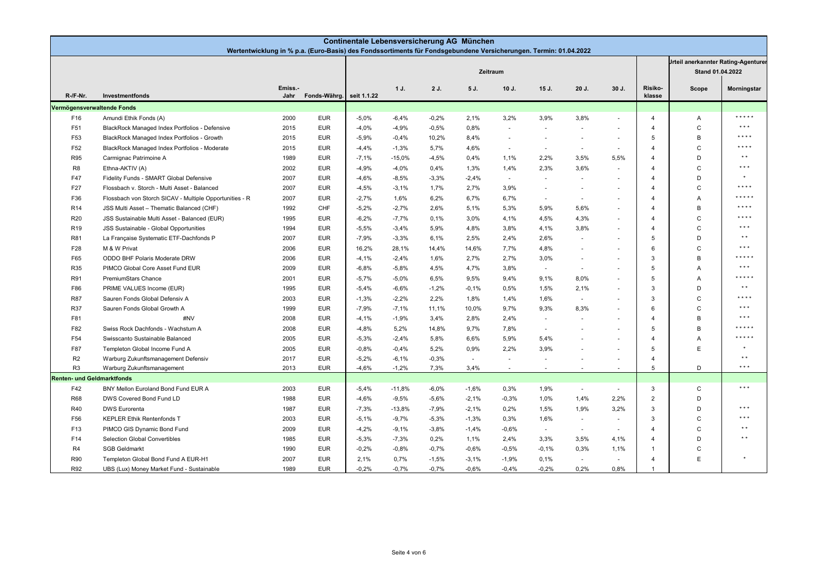|                                   | Continentale Lebensversicherung AG München<br>Wertentwicklung in % p.a. (Euro-Basis) des Fondssortiments für Fondsgebundene Versicherungen. Termin: 01.04.2022 |                 |                          |         |          |         |         |                          |                                                                |                          |                          |                         |              |                         |
|-----------------------------------|----------------------------------------------------------------------------------------------------------------------------------------------------------------|-----------------|--------------------------|---------|----------|---------|---------|--------------------------|----------------------------------------------------------------|--------------------------|--------------------------|-------------------------|--------------|-------------------------|
|                                   |                                                                                                                                                                |                 |                          |         |          |         |         |                          | <b>Jrteil anerkannter Rating-Agenturer</b><br>Stand 01.04.2022 |                          |                          |                         |              |                         |
| R-/F-Nr.                          | Investmentfonds                                                                                                                                                | Emiss.-<br>Jahr | Fonds-Währg. seit 1.1.22 |         | 1 J.     | 2 J.    | 5 J.    | $10J$ .                  | 15 J.                                                          | 20 J.                    | 30 J.                    | Risiko-<br>klasse       | Scope        | Morningstar             |
| Vermögensverwaltende Fonds        |                                                                                                                                                                |                 |                          |         |          |         |         |                          |                                                                |                          |                          |                         |              |                         |
| F16                               | Amundi Ethik Fonds (A)                                                                                                                                         | 2000            | <b>EUR</b>               | $-5,0%$ | $-6,4%$  | $-0.2%$ | 2,1%    | 3,2%                     | 3,9%                                                           | 3,8%                     | ×.                       | $\overline{4}$          | Α            | * * * * *               |
| F51                               | BlackRock Managed Index Portfolios - Defensive                                                                                                                 | 2015            | <b>EUR</b>               | $-4,0%$ | $-4,9%$  | $-0,5%$ | 0,8%    | $\overline{a}$           | ÷                                                              |                          |                          | $\Delta$                | $\mathsf{C}$ | $***$                   |
| F53                               | BlackRock Managed Index Portfolios - Growth                                                                                                                    | 2015            | <b>EUR</b>               | $-5,9%$ | $-0,4%$  | 10,2%   | 8,4%    | $\sim$                   | $\blacksquare$                                                 | $\sim$                   | $\sim$                   | 5                       | B            | $***$                   |
| F52                               | BlackRock Managed Index Portfolios - Moderate                                                                                                                  | 2015            | <b>EUR</b>               | $-4,4%$ | $-1,3%$  | 5,7%    | 4,6%    | $\overline{\phantom{a}}$ | $\sim$                                                         | ÷.                       | $\sim$                   | $\Delta$                | $\mathsf{C}$ | $* * * *$               |
| R95                               | Carmignac Patrimoine A                                                                                                                                         | 1989            | <b>EUR</b>               | $-7,1%$ | $-15,0%$ | $-4,5%$ | 0,4%    | 1,1%                     | 2,2%                                                           | 3,5%                     | 5,5%                     |                         | D            | $\star$ $\star$         |
| R <sub>8</sub>                    | Ethna-AKTIV (A)                                                                                                                                                | 2002            | <b>EUR</b>               | $-4,9%$ | $-4,0%$  | 0,4%    | 1,3%    | 1.4%                     | 2,3%                                                           | 3.6%                     | ×.                       | $\overline{\mathbf{4}}$ | $\mathsf{C}$ | $* * *$                 |
| F47                               | Fidelity Funds - SMART Global Defensive                                                                                                                        | 2007            | <b>EUR</b>               | $-4,6%$ | $-8,5%$  | $-3,3%$ | $-2,4%$ | $\sim$                   |                                                                |                          |                          | $\overline{4}$          | D            | $\star$                 |
| F27                               | Flossbach v. Storch - Multi Asset - Balanced                                                                                                                   | 2007            | <b>EUR</b>               | $-4,5%$ | $-3,1%$  | 1,7%    | 2,7%    | 3,9%                     | $\overline{\phantom{a}}$                                       | $\overline{\phantom{a}}$ | $\sim$                   | 4                       | C            | * * * *                 |
| F36                               | Flossbach von Storch SICAV - Multiple Opportunities - R                                                                                                        | 2007            | <b>EUR</b>               | $-2,7%$ | 1,6%     | 6,2%    | 6,7%    | 6,7%                     | $\blacksquare$                                                 | ٠                        | $\sim$                   | $\overline{4}$          | Α            | * * * * *               |
| R <sub>14</sub>                   | JSS Multi Asset - Thematic Balanced (CHF)                                                                                                                      | 1992            | CHF                      | $-5,2%$ | $-2,7%$  | 2,6%    | 5,1%    | 5,3%                     | 5,9%                                                           | 5,6%                     | $\sim$                   | 4                       | B            | $* * * * *$             |
| R <sub>20</sub>                   | JSS Sustainable Multi Asset - Balanced (EUR)                                                                                                                   | 1995            | <b>EUR</b>               | $-6,2%$ | $-7,7%$  | 0,1%    | 3,0%    | 4,1%                     | 4,5%                                                           | 4,3%                     | $\sim$                   | $\overline{4}$          | $\mathsf{C}$ | * * * *                 |
| R <sub>19</sub>                   | JSS Sustainable - Global Opportunities                                                                                                                         | 1994            | <b>EUR</b>               | $-5,5%$ | $-3,4%$  | 5,9%    | 4,8%    | 3,8%                     | 4,1%                                                           | 3,8%                     | $\sim$                   | $\overline{4}$          | $\mathsf{C}$ | $\star \star \star$     |
| R81                               | La Française Systematic ETF-Dachfonds P                                                                                                                        | 2007            | <b>EUR</b>               | $-7,9%$ | $-3,3%$  | 6,1%    | 2,5%    | 2,4%                     | 2,6%                                                           | ÷                        | $\sim$                   | 5                       | D            | $\star$ $\star$         |
| F28                               | M & W Privat                                                                                                                                                   | 2006            | <b>EUR</b>               | 16,2%   | 28,1%    | 14,4%   | 14,6%   | 7,7%                     | 4,8%                                                           |                          | $\overline{\phantom{a}}$ | 6                       | $\mathsf{C}$ | $* * *$                 |
| F65                               | ODDO BHF Polaris Moderate DRW                                                                                                                                  | 2006            | <b>EUR</b>               | $-4,1%$ | $-2,4%$  | 1,6%    | 2,7%    | 2,7%                     | 3,0%                                                           | ٠                        | $\overline{\phantom{a}}$ | $\mathcal{R}$           | B            | * * * * *               |
| <b>R35</b>                        | PIMCO Global Core Asset Fund EUR                                                                                                                               | 2009            | <b>EUR</b>               | $-6,8%$ | $-5,8%$  | 4,5%    | 4,7%    | 3,8%                     | $\overline{\phantom{a}}$                                       | $\sim$                   |                          | 5                       | Α            | $\star$ $\star$ $\star$ |
| R91                               | PremiumStars Chance                                                                                                                                            | 2001            | <b>EUR</b>               | $-5,7%$ | $-5,0%$  | 6,5%    | 9,5%    | 9,4%                     | 9,1%                                                           | 8,0%                     | $\sim$                   | 5                       | Α            | * * * * *               |
| F86                               | PRIME VALUES Income (EUR)                                                                                                                                      | 1995            | <b>EUR</b>               | $-5,4%$ | $-6,6%$  | $-1,2%$ | $-0,1%$ | 0,5%                     | 1,5%                                                           | 2,1%                     | $\sim$                   | $\mathcal{R}$           | D            | $\star$ $\star$         |
| <b>R87</b>                        | Sauren Fonds Global Defensiv A                                                                                                                                 | 2003            | <b>EUR</b>               | $-1,3%$ | $-2,2%$  | 2,2%    | 1,8%    | 1,4%                     | 1,6%                                                           | ÷.                       |                          | $\mathcal{R}$           | $\mathsf{C}$ | ****                    |
| <b>R37</b>                        | Sauren Fonds Global Growth A                                                                                                                                   | 1999            | <b>EUR</b>               | $-7,9%$ | $-7,1%$  | 11,1%   | 10,0%   | 9,7%                     | 9,3%                                                           | 8,3%                     | $\sim$                   | 6                       | $\mathsf{C}$ | $***$                   |
| F81                               | #NV                                                                                                                                                            | 2008            | <b>EUR</b>               | $-4,1%$ | $-1,9%$  | 3,4%    | 2,8%    | 2,4%                     | ÷.                                                             |                          |                          | $\overline{4}$          | B            | $***$                   |
| F82                               | Swiss Rock Dachfonds - Wachstum A                                                                                                                              | 2008            | <b>EUR</b>               | -4,8%   | 5,2%     | 14,8%   | 9,7%    | 7,8%                     | $\blacksquare$                                                 |                          | $\overline{\phantom{a}}$ | -5                      | B            | $* * * *$               |
| F54                               | Swisscanto Sustainable Balanced                                                                                                                                | 2005            | <b>EUR</b>               | $-5,3%$ | $-2,4%$  | 5,8%    | 6,6%    | 5,9%                     | 5,4%                                                           |                          | $\overline{\phantom{a}}$ | $\overline{4}$          | Α            | * * * * *               |
| F87                               | Templeton Global Income Fund A                                                                                                                                 | 2005            | <b>EUR</b>               | $-0.8%$ | $-0,4%$  | 5,2%    | 0,9%    | 2,2%                     | 3,9%                                                           | ٠                        | $\sim$                   | 5                       | E            | $\star$                 |
| R <sub>2</sub>                    | Warburg Zukunftsmanagement Defensiv                                                                                                                            | 2017            | <b>EUR</b>               | $-5,2%$ | $-6,1%$  | $-0,3%$ | $\sim$  | $\overline{a}$           |                                                                |                          | $\sim$                   | $\overline{4}$          |              | $* *$                   |
| R <sub>3</sub>                    | Warburg Zukunftsmanagement                                                                                                                                     | 2013            | <b>EUR</b>               | $-4,6%$ | $-1,2%$  | 7,3%    | 3,4%    |                          |                                                                |                          | $\sim$                   | 5                       | D            | $\star \star \star$     |
| <b>Renten- und Geldmarktfonds</b> |                                                                                                                                                                |                 |                          |         |          |         |         |                          |                                                                |                          |                          |                         |              |                         |
| F42                               | BNY Mellon Euroland Bond Fund EUR A                                                                                                                            | 2003            | <b>EUR</b>               | $-5,4%$ | $-11,8%$ | $-6,0%$ | $-1,6%$ | 0,3%                     | 1,9%                                                           | ÷.                       | ×.                       | 3                       | C            | $\star$ $\star$ $\star$ |
| <b>R68</b>                        | DWS Covered Bond Fund LD                                                                                                                                       | 1988            | <b>EUR</b>               | $-4,6%$ | $-9,5%$  | $-5,6%$ | $-2,1%$ | $-0,3%$                  | 1,0%                                                           | 1,4%                     | 2,2%                     | $\overline{2}$          | D            |                         |
| R40                               | <b>DWS Eurorenta</b>                                                                                                                                           | 1987            | <b>EUR</b>               | $-7,3%$ | $-13,8%$ | $-7,9%$ | $-2,1%$ | 0,2%                     | 1,5%                                                           | 1,9%                     | 3,2%                     | $\mathcal{R}$           | D            | $\star \star \star$     |
| F56                               | <b>KEPLER Ethik Rentenfonds T</b>                                                                                                                              | 2003            | <b>EUR</b>               | $-5,1%$ | $-9,7%$  | $-5,3%$ | $-1,3%$ | 0,3%                     | 1,6%                                                           | ÷.                       | $\sim$                   | $\mathcal{R}$           | $\mathsf{C}$ | $\star \star \star$     |
| F <sub>13</sub>                   | PIMCO GIS Dynamic Bond Fund                                                                                                                                    | 2009            | <b>EUR</b>               | $-4,2%$ | $-9,1%$  | $-3,8%$ | $-1,4%$ | $-0.6%$                  | $\sim$                                                         | $\sim$                   | $\sim$                   | $\boldsymbol{\Lambda}$  | $\mathsf{C}$ | $* *$                   |
| F14                               | Selection Global Convertibles                                                                                                                                  | 1985            | <b>EUR</b>               | $-5,3%$ | $-7,3%$  | 0,2%    | 1,1%    | 2,4%                     | 3,3%                                                           | 3,5%                     | 4,1%                     |                         | D            | $* *$                   |
| R4                                | <b>SGB Geldmarkt</b>                                                                                                                                           | 1990            | <b>EUR</b>               | $-0.2%$ | $-0.8%$  | $-0.7%$ | $-0.6%$ | $-0.5%$                  | $-0.1%$                                                        | 0,3%                     | 1,1%                     |                         | $\mathsf{C}$ |                         |
| <b>R90</b>                        | Templeton Global Bond Fund A EUR-H1                                                                                                                            | 2007            | <b>EUR</b>               | 2,1%    | 0,7%     | $-1,5%$ | $-3,1%$ | $-1,9%$                  | 0,1%                                                           | $\sim$                   | $\sim$                   | $\overline{\mathbf{4}}$ | E            |                         |
| R92                               | UBS (Lux) Money Market Fund - Sustainable                                                                                                                      | 1989            | <b>EUR</b>               | $-0.2%$ | $-0.7%$  | $-0.7%$ | $-0.6%$ | $-0.4%$                  | $-0.2%$                                                        | 0.2%                     | 0.8%                     |                         |              |                         |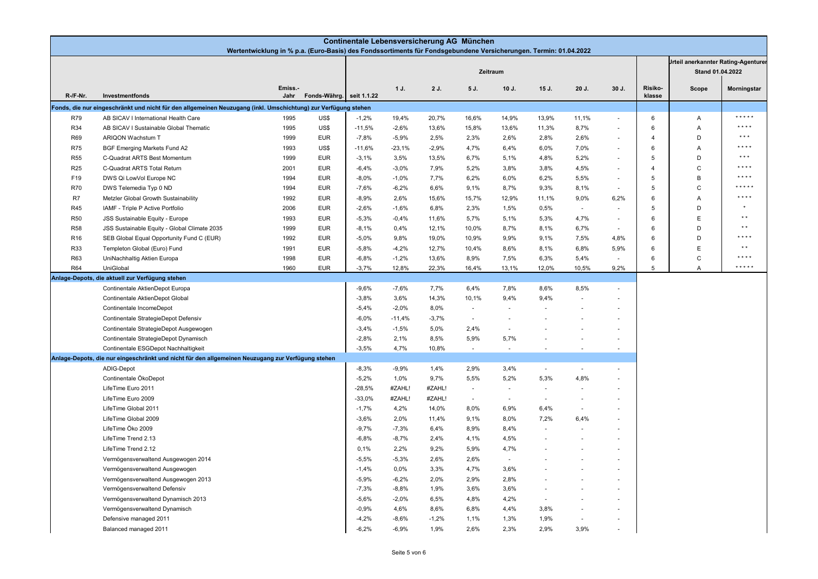|                 | Continentale Lebensversicherung AG München<br>Wertentwicklung in % p.a. (Euro-Basis) des Fondssortiments für Fondsgebundene Versicherungen. Termin: 01.04.2022 |                |              |                    |                    |               |                          |                                            |                          |                |                          |                   |                  |                 |
|-----------------|----------------------------------------------------------------------------------------------------------------------------------------------------------------|----------------|--------------|--------------------|--------------------|---------------|--------------------------|--------------------------------------------|--------------------------|----------------|--------------------------|-------------------|------------------|-----------------|
|                 |                                                                                                                                                                |                |              |                    |                    |               |                          | <b>Jrteil anerkannter Rating-Agenturer</b> |                          |                |                          |                   |                  |                 |
|                 |                                                                                                                                                                |                |              |                    |                    |               |                          | Zeitraum                                   |                          |                |                          |                   | Stand 01.04.2022 |                 |
| R /F Nr.        | Investmentfonds                                                                                                                                                | Emiss.<br>Jahr | Fonds-Währg. | seit 1.1.22        | 1J.                | 2 J.          | 5 J.                     | $10J$ .                                    | 15 J.                    | 20 J.          | 30 J.                    | Risiko-<br>klasse | Scope            | Morningstar     |
|                 | Fonds, die nur eingeschränkt und nicht für den allgemeinen Neuzugang (inkl. Umschichtung) zur Verfügung stehen                                                 |                |              |                    |                    |               |                          |                                            |                          |                |                          |                   |                  |                 |
| <b>R79</b>      | AB SICAV I International Health Care                                                                                                                           | 1995           | US\$         | $-1,2%$            | 19,4%              | 20,7%         | 16,6%                    | 14,9%                                      | 13,9%                    | 11,1%          | $\overline{\phantom{a}}$ | 6                 | Α                | * * * * *       |
| R34             | AB SICAV I Sustainable Global Thematic                                                                                                                         | 1995           | US\$         | $-11,5%$           | $-2,6%$            | 13,6%         | 15,8%                    | 13,6%                                      | 11,3%                    | 8,7%           | $\overline{\phantom{a}}$ | 6                 | Α                | * * * *         |
| R69             | ARIQON Wachstum T                                                                                                                                              | 1999           | <b>EUR</b>   | $-7,8%$            | $-5,9%$            | 2,5%          | 2,3%                     | 2,6%                                       | 2,8%                     | 2,6%           | ÷,                       | 4                 | D                | $***$           |
| <b>R75</b>      | <b>BGF Emerging Markets Fund A2</b>                                                                                                                            | 1993           | US\$         | $-11,6%$           | $-23,1%$           | $-2,9%$       | 4,7%                     | 6,4%                                       | 6,0%                     | 7,0%           |                          | 6                 | A                | * * * *         |
| <b>R55</b>      | C-Quadrat ARTS Best Momentum                                                                                                                                   | 1999           | <b>EUR</b>   | $-3,1%$            | 3,5%               | 13,5%         | 6,7%                     | 5,1%                                       | 4,8%                     | 5,2%           | ÷,                       | 5                 | D                | $***$           |
| R <sub>25</sub> | C-Quadrat ARTS Total Return                                                                                                                                    | 2001           | <b>EUR</b>   | $-6,4%$            | $-3,0%$            | 7,9%          | 5,2%                     | 3,8%                                       | 3,8%                     | 4,5%           | $\overline{\phantom{a}}$ | 4                 | $\mathsf{C}$     | * * * *         |
| F19             | DWS Qi LowVol Europe NC                                                                                                                                        | 1994           | <b>EUR</b>   | $-8,0%$            | $-1,0%$            | 7,7%          | 6,2%                     | 6,0%                                       | 6,2%                     | 5,5%           | $\overline{\phantom{a}}$ | 5                 | $\,$ B           | * * * *         |
| R70             | DWS Telemedia Typ 0 ND                                                                                                                                         | 1994           | <b>EUR</b>   | $-7,6%$            | $-6,2%$            | 6,6%          | 9,1%                     | 8,7%                                       | 9,3%                     | 8,1%           | $\sim$                   | 5                 | $\mathsf{C}$     | * * * * *       |
| R7              | Metzler Global Growth Sustainability                                                                                                                           | 1992           | <b>EUR</b>   | $-8,9%$            | 2,6%               | 15,6%         | 15,7%                    | 12,9%                                      | 11,1%                    | 9,0%           | 6,2%                     | 6                 | Α                | * * * *         |
| R45             | IAMF - Triple P Active Portfolio                                                                                                                               | 2006           | <b>EUR</b>   | $-2,6%$            | $-1,6%$            | 6,8%          | 2,3%                     | 1,5%                                       | 0,5%                     | $\sim$         |                          | 5                 | D                |                 |
| <b>R50</b>      | JSS Sustainable Equity - Europe                                                                                                                                | 1993           | <b>EUR</b>   | $-5,3%$            | $-0,4%$            | 11,6%         | 5,7%                     | 5,1%                                       | 5,3%                     | 4,7%           | $\overline{\phantom{a}}$ | 6                 | $\mathsf E$      | $\star$ $\star$ |
| <b>R58</b>      | JSS Sustainable Equity - Global Climate 2035                                                                                                                   | 1999           | <b>EUR</b>   | $-8,1%$            | 0,4%               | 12,1%         | 10,0%                    | 8,7%                                       | 8,1%                     | 6,7%           |                          | 6                 | D                | $\star$ $\star$ |
| R <sub>16</sub> | SEB Global Equal Opportunity Fund C (EUR)                                                                                                                      | 1992           | <b>EUR</b>   | $-5,0%$            | 9,8%               | 19,0%         | 10,9%                    | 9,9%                                       | 9,1%                     | 7,5%           | 4,8%                     | 6                 | D                | * * * *         |
| R33             | Templeton Global (Euro) Fund                                                                                                                                   | 1991           | <b>EUR</b>   | $-5,8%$            | $-4,2%$            | 12,7%         | 10,4%                    | 8,6%                                       | 8,1%                     | 6,8%           | 5,9%                     | 6                 | E                | $\star$ $\star$ |
| R63             | UniNachhaltig Aktien Europa                                                                                                                                    | 1998           | <b>EUR</b>   | $-6,8%$            | $-1,2%$            | 13,6%         | 8,9%                     | 7,5%                                       | 6,3%                     | 5,4%           | $\blacksquare$           | 6                 | $\mathsf{C}$     | * * * *         |
| R64             | UniGlobal                                                                                                                                                      | 1960           | <b>EUR</b>   | $-3,7%$            | 12,8%              | 22,3%         | 16,4%                    | 13,1%                                      | 12,0%                    | 10,5%          | 9,2%                     | 5                 | $\overline{A}$   | *****           |
|                 | Anlage-Depots, die aktuell zur Verfügung stehen                                                                                                                |                |              |                    |                    |               |                          |                                            |                          |                |                          |                   |                  |                 |
|                 | Continentale AktienDepot Europa                                                                                                                                |                |              | $-9,6%$            | $-7,6%$            | 7,7%          | 6,4%                     | 7,8%                                       | 8,6%                     | 8,5%           | $\sim$                   |                   |                  |                 |
|                 | Continentale AktienDepot Global                                                                                                                                |                |              | $-3,8%$            | 3,6%               | 14,3%         | 10,1%                    | 9,4%                                       | 9,4%                     | ×.             |                          |                   |                  |                 |
|                 | Continentale IncomeDepot                                                                                                                                       |                |              | $-5,4%$            | $-2,0%$            | 8,0%          | $\overline{\phantom{a}}$ |                                            |                          |                |                          |                   |                  |                 |
|                 | Continentale StrategieDepot Defensiv                                                                                                                           |                |              | $-6,0%$            | $-11,4%$           | $-3,7%$       | $\sim$                   | $\sim$                                     |                          |                |                          |                   |                  |                 |
|                 | Continentale StrategieDepot Ausgewogen                                                                                                                         |                |              | $-3,4%$            | $-1,5%$            | 5,0%          | 2,4%                     | ä,                                         |                          |                |                          |                   |                  |                 |
|                 | Continentale StrategieDepot Dynamisch                                                                                                                          |                |              | $-2,8%$            | 2,1%               | 8,5%          | 5,9%                     | 5,7%                                       |                          | $\sim$         |                          |                   |                  |                 |
|                 | Continentale ESGDepot Nachhaltigkeit                                                                                                                           |                |              | $-3,5%$            | 4,7%               | 10,8%         | ×.                       | $\sim$                                     |                          | ÷,             |                          |                   |                  |                 |
|                 | Anlage-Depots, die nur eingeschränkt und nicht für den allgemeinen Neuzugang zur Verfügung stehen                                                              |                |              |                    |                    |               |                          |                                            |                          |                |                          |                   |                  |                 |
|                 | ADIG-Depot                                                                                                                                                     |                |              | $-8,3%$            | $-9,9%$            | 1,4%          | 2,9%                     | 3,4%                                       | $\sim$                   | ÷.             | $\sim$                   |                   |                  |                 |
|                 | Continentale ÖkoDepot                                                                                                                                          |                |              | $-5,2%$            | 1,0%               | 9,7%          | 5,5%                     | 5,2%                                       | 5,3%                     | 4,8%           |                          |                   |                  |                 |
|                 | LifeTime Euro 2011                                                                                                                                             |                |              | $-28,5%$           | #ZAHL!             | #ZAHL!        | $\overline{\phantom{a}}$ | ÷.                                         | $\overline{a}$           |                |                          |                   |                  |                 |
|                 | LifeTime Euro 2009                                                                                                                                             |                |              | $-33,0%$           | #ZAHL!             | #ZAHL!        | $\sim$                   | $\sim$                                     | $\overline{\phantom{a}}$ |                |                          |                   |                  |                 |
|                 | LifeTime Global 2011                                                                                                                                           |                |              | $-1,7%$            | 4,2%               | 14,0%         | 8,0%                     | 6,9%                                       | 6,4%                     | $\sim$         |                          |                   |                  |                 |
|                 | LifeTime Global 2009<br>LifeTime Öko 2009                                                                                                                      |                |              | $-3,6%$            | 2,0%               | 11,4%<br>6,4% | 9,1%<br>8,9%             | 8,0%<br>8,4%                               | 7,2%                     | 6,4%           |                          |                   |                  |                 |
|                 | LifeTime Trend 2.13                                                                                                                                            |                |              | $-9,7%$<br>$-6,8%$ | $-7,3%$<br>$-8,7%$ | 2,4%          | 4,1%                     | 4,5%                                       |                          |                |                          |                   |                  |                 |
|                 | LifeTime Trend 2.12                                                                                                                                            |                |              | 0,1%               | 2,2%               | 9,2%          | 5,9%                     | 4,7%                                       |                          |                |                          |                   |                  |                 |
|                 |                                                                                                                                                                |                |              | $-5,5%$            | $-5,3%$            | 2,6%          | 2,6%                     | $\sim$                                     |                          |                |                          |                   |                  |                 |
|                 | Vermögensverwaltend Ausgewogen 2014<br>Vermögensverwaltend Ausgewogen                                                                                          |                |              | $-1,4%$            | 0,0%               | 3,3%          | 4,7%                     | 3,6%                                       |                          |                |                          |                   |                  |                 |
|                 | Vermögensverwaltend Ausgewogen 2013                                                                                                                            |                |              | $-5,9%$            | $-6,2%$            | 2,0%          | 2,9%                     | 2,8%                                       |                          |                |                          |                   |                  |                 |
|                 | Vermögensverwaltend Defensiv                                                                                                                                   |                |              | $-7,3%$            | $-8,8%$            | 1,9%          | 3,6%                     | 3,6%                                       | ä,                       |                | ÷,                       |                   |                  |                 |
|                 | Vermögensverwaltend Dynamisch 2013                                                                                                                             |                |              | $-5,6%$            | $-2,0%$            | 6,5%          | 4,8%                     | 4,2%                                       | $\overline{\phantom{a}}$ |                |                          |                   |                  |                 |
|                 | Vermögensverwaltend Dynamisch                                                                                                                                  |                |              | $-0,9%$            | 4,6%               | 8,6%          | 6,8%                     | 4,4%                                       | 3,8%                     |                |                          |                   |                  |                 |
|                 | Defensive managed 2011                                                                                                                                         |                |              | $-4,2%$            | $-8,6%$            | $-1,2%$       | 1,1%                     | 1,3%                                       | 1,9%                     | $\blacksquare$ | $\overline{\phantom{a}}$ |                   |                  |                 |
|                 | Balanced managed 2011                                                                                                                                          |                |              | $-6,2%$            | $-6,9%$            | 1,9%          | 2,6%                     | 2,3%                                       | 2,9%                     | 3,9%           |                          |                   |                  |                 |
|                 |                                                                                                                                                                |                |              |                    |                    |               |                          |                                            |                          |                |                          |                   |                  |                 |